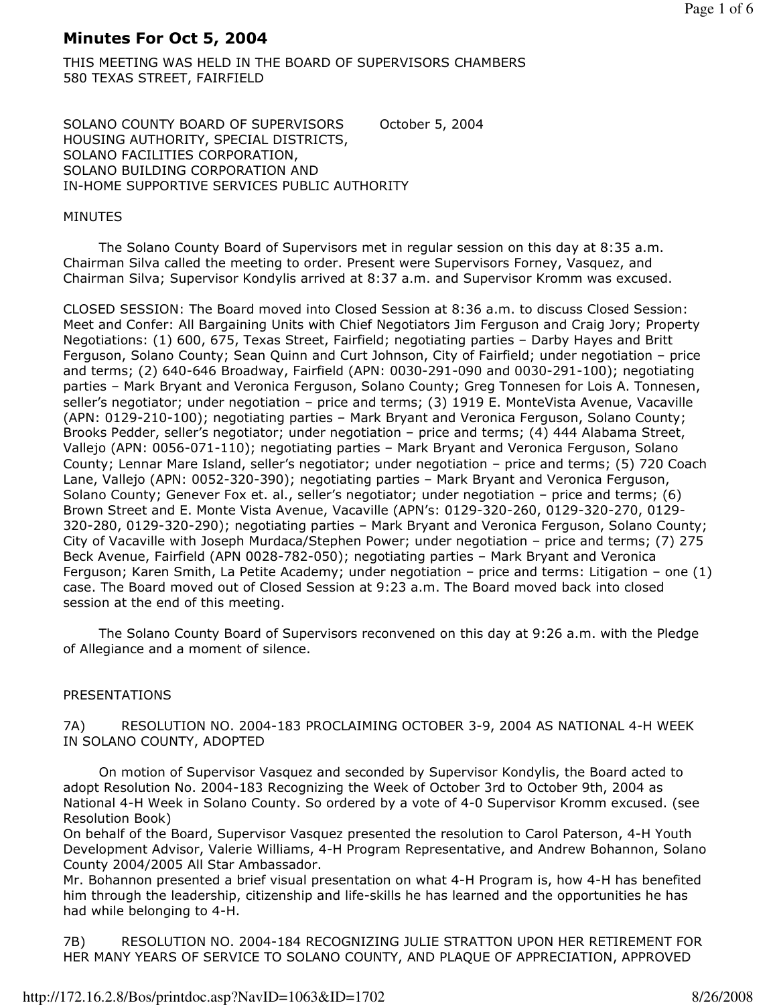# Minutes For Oct 5, 2004

THIS MEETING WAS HELD IN THE BOARD OF SUPERVISORS CHAMBERS 580 TEXAS STREET, FAIRFIELD

SOLANO COUNTY BOARD OF SUPERVISORS October 5, 2004 HOUSING AUTHORITY, SPECIAL DISTRICTS, SOLANO FACILITIES CORPORATION, SOLANO BUILDING CORPORATION AND IN-HOME SUPPORTIVE SERVICES PUBLIC AUTHORITY

# MINUTES

 The Solano County Board of Supervisors met in regular session on this day at 8:35 a.m. Chairman Silva called the meeting to order. Present were Supervisors Forney, Vasquez, and Chairman Silva; Supervisor Kondylis arrived at 8:37 a.m. and Supervisor Kromm was excused.

CLOSED SESSION: The Board moved into Closed Session at 8:36 a.m. to discuss Closed Session: Meet and Confer: All Bargaining Units with Chief Negotiators Jim Ferguson and Craig Jory; Property Negotiations: (1) 600, 675, Texas Street, Fairfield; negotiating parties – Darby Hayes and Britt Ferguson, Solano County; Sean Quinn and Curt Johnson, City of Fairfield; under negotiation – price and terms; (2) 640-646 Broadway, Fairfield (APN: 0030-291-090 and 0030-291-100); negotiating parties – Mark Bryant and Veronica Ferguson, Solano County; Greg Tonnesen for Lois A. Tonnesen, seller's negotiator; under negotiation – price and terms; (3) 1919 E. MonteVista Avenue, Vacaville (APN: 0129-210-100); negotiating parties – Mark Bryant and Veronica Ferguson, Solano County; Brooks Pedder, seller's negotiator; under negotiation – price and terms; (4) 444 Alabama Street, Vallejo (APN: 0056-071-110); negotiating parties – Mark Bryant and Veronica Ferguson, Solano County; Lennar Mare Island, seller's negotiator; under negotiation – price and terms; (5) 720 Coach Lane, Vallejo (APN: 0052-320-390); negotiating parties – Mark Bryant and Veronica Ferguson, Solano County; Genever Fox et. al., seller's negotiator; under negotiation – price and terms; (6) Brown Street and E. Monte Vista Avenue, Vacaville (APN's: 0129-320-260, 0129-320-270, 0129- 320-280, 0129-320-290); negotiating parties – Mark Bryant and Veronica Ferguson, Solano County; City of Vacaville with Joseph Murdaca/Stephen Power; under negotiation – price and terms; (7) 275 Beck Avenue, Fairfield (APN 0028-782-050); negotiating parties – Mark Bryant and Veronica Ferguson; Karen Smith, La Petite Academy; under negotiation – price and terms: Litigation – one (1) case. The Board moved out of Closed Session at 9:23 a.m. The Board moved back into closed session at the end of this meeting.

 The Solano County Board of Supervisors reconvened on this day at 9:26 a.m. with the Pledge of Allegiance and a moment of silence.

# PRESENTATIONS

7A) RESOLUTION NO. 2004-183 PROCLAIMING OCTOBER 3-9, 2004 AS NATIONAL 4-H WEEK IN SOLANO COUNTY, ADOPTED

 On motion of Supervisor Vasquez and seconded by Supervisor Kondylis, the Board acted to adopt Resolution No. 2004-183 Recognizing the Week of October 3rd to October 9th, 2004 as National 4-H Week in Solano County. So ordered by a vote of 4-0 Supervisor Kromm excused. (see Resolution Book)

On behalf of the Board, Supervisor Vasquez presented the resolution to Carol Paterson, 4-H Youth Development Advisor, Valerie Williams, 4-H Program Representative, and Andrew Bohannon, Solano County 2004/2005 All Star Ambassador.

Mr. Bohannon presented a brief visual presentation on what 4-H Program is, how 4-H has benefited him through the leadership, citizenship and life-skills he has learned and the opportunities he has had while belonging to 4-H.

7B) RESOLUTION NO. 2004-184 RECOGNIZING JULIE STRATTON UPON HER RETIREMENT FOR HER MANY YEARS OF SERVICE TO SOLANO COUNTY, AND PLAQUE OF APPRECIATION, APPROVED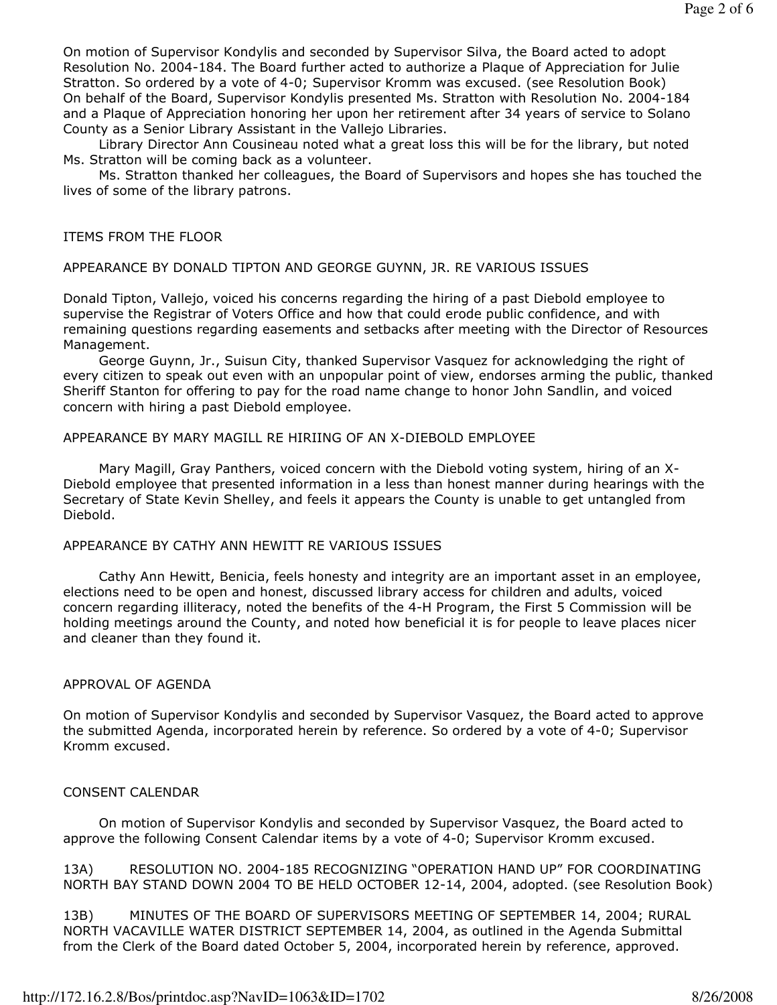On motion of Supervisor Kondylis and seconded by Supervisor Silva, the Board acted to adopt Resolution No. 2004-184. The Board further acted to authorize a Plaque of Appreciation for Julie Stratton. So ordered by a vote of 4-0; Supervisor Kromm was excused. (see Resolution Book) On behalf of the Board, Supervisor Kondylis presented Ms. Stratton with Resolution No. 2004-184 and a Plaque of Appreciation honoring her upon her retirement after 34 years of service to Solano County as a Senior Library Assistant in the Vallejo Libraries.

 Library Director Ann Cousineau noted what a great loss this will be for the library, but noted Ms. Stratton will be coming back as a volunteer.

 Ms. Stratton thanked her colleagues, the Board of Supervisors and hopes she has touched the lives of some of the library patrons.

#### ITEMS FROM THE FLOOR

#### APPEARANCE BY DONALD TIPTON AND GEORGE GUYNN, JR. RE VARIOUS ISSUES

Donald Tipton, Vallejo, voiced his concerns regarding the hiring of a past Diebold employee to supervise the Registrar of Voters Office and how that could erode public confidence, and with remaining questions regarding easements and setbacks after meeting with the Director of Resources Management.

 George Guynn, Jr., Suisun City, thanked Supervisor Vasquez for acknowledging the right of every citizen to speak out even with an unpopular point of view, endorses arming the public, thanked Sheriff Stanton for offering to pay for the road name change to honor John Sandlin, and voiced concern with hiring a past Diebold employee.

#### APPEARANCE BY MARY MAGILL RE HIRIING OF AN X-DIEBOLD EMPLOYEE

 Mary Magill, Gray Panthers, voiced concern with the Diebold voting system, hiring of an X-Diebold employee that presented information in a less than honest manner during hearings with the Secretary of State Kevin Shelley, and feels it appears the County is unable to get untangled from Diebold.

#### APPEARANCE BY CATHY ANN HEWITT RE VARIOUS ISSUES

 Cathy Ann Hewitt, Benicia, feels honesty and integrity are an important asset in an employee, elections need to be open and honest, discussed library access for children and adults, voiced concern regarding illiteracy, noted the benefits of the 4-H Program, the First 5 Commission will be holding meetings around the County, and noted how beneficial it is for people to leave places nicer and cleaner than they found it.

#### APPROVAL OF AGENDA

On motion of Supervisor Kondylis and seconded by Supervisor Vasquez, the Board acted to approve the submitted Agenda, incorporated herein by reference. So ordered by a vote of 4-0; Supervisor Kromm excused.

#### CONSENT CALENDAR

 On motion of Supervisor Kondylis and seconded by Supervisor Vasquez, the Board acted to approve the following Consent Calendar items by a vote of 4-0; Supervisor Kromm excused.

13A) RESOLUTION NO. 2004-185 RECOGNIZING "OPERATION HAND UP" FOR COORDINATING NORTH BAY STAND DOWN 2004 TO BE HELD OCTOBER 12-14, 2004, adopted. (see Resolution Book)

13B) MINUTES OF THE BOARD OF SUPERVISORS MEETING OF SEPTEMBER 14, 2004; RURAL NORTH VACAVILLE WATER DISTRICT SEPTEMBER 14, 2004, as outlined in the Agenda Submittal from the Clerk of the Board dated October 5, 2004, incorporated herein by reference, approved.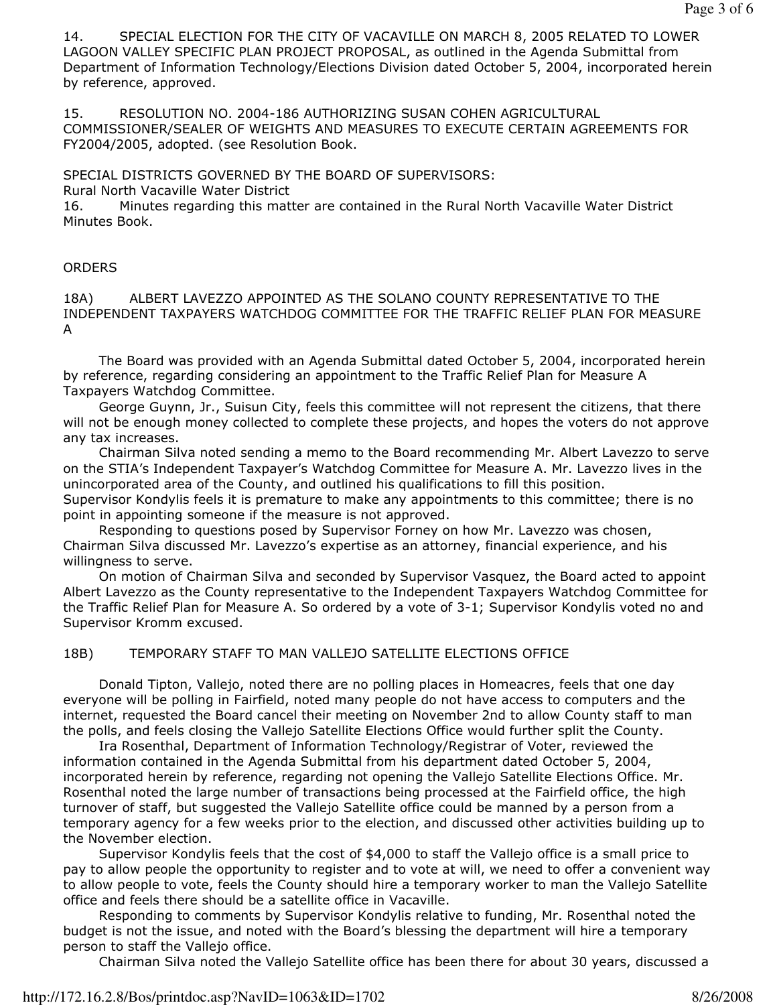14. SPECIAL ELECTION FOR THE CITY OF VACAVILLE ON MARCH 8, 2005 RELATED TO LOWER LAGOON VALLEY SPECIFIC PLAN PROJECT PROPOSAL, as outlined in the Agenda Submittal from Department of Information Technology/Elections Division dated October 5, 2004, incorporated herein by reference, approved.

15. RESOLUTION NO. 2004-186 AUTHORIZING SUSAN COHEN AGRICULTURAL COMMISSIONER/SEALER OF WEIGHTS AND MEASURES TO EXECUTE CERTAIN AGREEMENTS FOR FY2004/2005, adopted. (see Resolution Book.

SPECIAL DISTRICTS GOVERNED BY THE BOARD OF SUPERVISORS:

Rural North Vacaville Water District

16. Minutes regarding this matter are contained in the Rural North Vacaville Water District Minutes Book.

### **ORDERS**

18A) ALBERT LAVEZZO APPOINTED AS THE SOLANO COUNTY REPRESENTATIVE TO THE INDEPENDENT TAXPAYERS WATCHDOG COMMITTEE FOR THE TRAFFIC RELIEF PLAN FOR MEASURE A

 The Board was provided with an Agenda Submittal dated October 5, 2004, incorporated herein by reference, regarding considering an appointment to the Traffic Relief Plan for Measure A Taxpayers Watchdog Committee.

 George Guynn, Jr., Suisun City, feels this committee will not represent the citizens, that there will not be enough money collected to complete these projects, and hopes the voters do not approve any tax increases.

 Chairman Silva noted sending a memo to the Board recommending Mr. Albert Lavezzo to serve on the STIA's Independent Taxpayer's Watchdog Committee for Measure A. Mr. Lavezzo lives in the unincorporated area of the County, and outlined his qualifications to fill this position. Supervisor Kondylis feels it is premature to make any appointments to this committee; there is no point in appointing someone if the measure is not approved.

 Responding to questions posed by Supervisor Forney on how Mr. Lavezzo was chosen, Chairman Silva discussed Mr. Lavezzo's expertise as an attorney, financial experience, and his willingness to serve.

 On motion of Chairman Silva and seconded by Supervisor Vasquez, the Board acted to appoint Albert Lavezzo as the County representative to the Independent Taxpayers Watchdog Committee for the Traffic Relief Plan for Measure A. So ordered by a vote of 3-1; Supervisor Kondylis voted no and Supervisor Kromm excused.

# 18B) TEMPORARY STAFF TO MAN VALLEJO SATELLITE ELECTIONS OFFICE

 Donald Tipton, Vallejo, noted there are no polling places in Homeacres, feels that one day everyone will be polling in Fairfield, noted many people do not have access to computers and the internet, requested the Board cancel their meeting on November 2nd to allow County staff to man the polls, and feels closing the Vallejo Satellite Elections Office would further split the County.

 Ira Rosenthal, Department of Information Technology/Registrar of Voter, reviewed the information contained in the Agenda Submittal from his department dated October 5, 2004, incorporated herein by reference, regarding not opening the Vallejo Satellite Elections Office. Mr. Rosenthal noted the large number of transactions being processed at the Fairfield office, the high turnover of staff, but suggested the Vallejo Satellite office could be manned by a person from a temporary agency for a few weeks prior to the election, and discussed other activities building up to the November election.

 Supervisor Kondylis feels that the cost of \$4,000 to staff the Vallejo office is a small price to pay to allow people the opportunity to register and to vote at will, we need to offer a convenient way to allow people to vote, feels the County should hire a temporary worker to man the Vallejo Satellite office and feels there should be a satellite office in Vacaville.

 Responding to comments by Supervisor Kondylis relative to funding, Mr. Rosenthal noted the budget is not the issue, and noted with the Board's blessing the department will hire a temporary person to staff the Vallejo office.

Chairman Silva noted the Vallejo Satellite office has been there for about 30 years, discussed a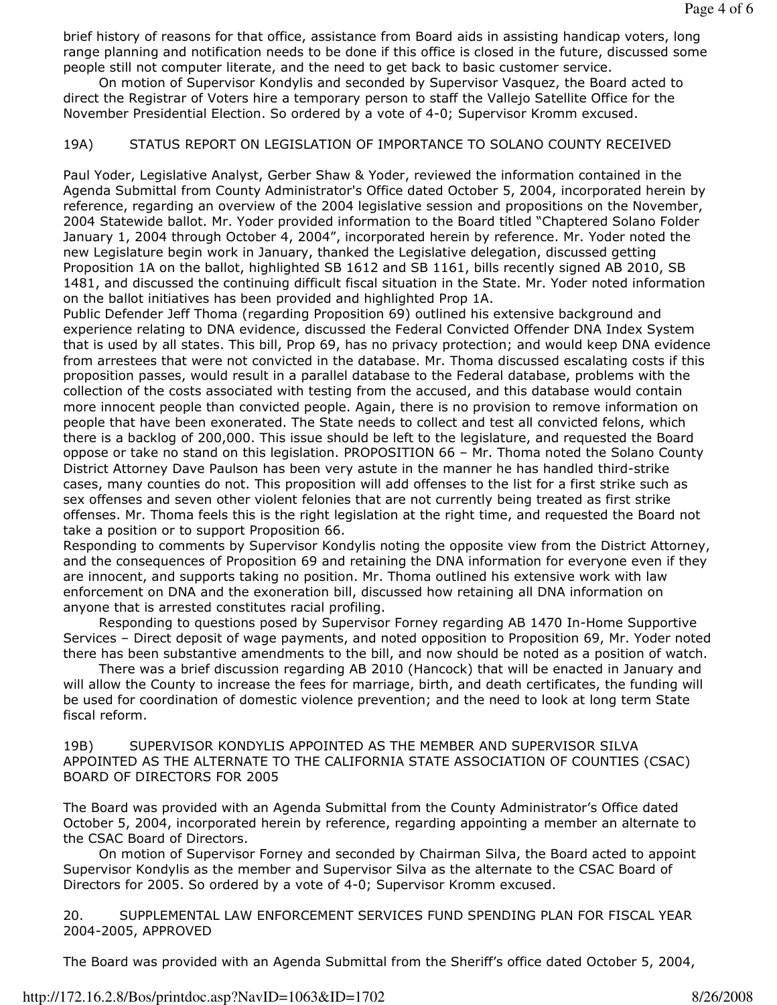brief history of reasons for that office, assistance from Board aids in assisting handicap voters, long range planning and notification needs to be done if this office is closed in the future, discussed some people still not computer literate, and the need to get back to basic customer service.

 On motion of Supervisor Kondylis and seconded by Supervisor Vasquez, the Board acted to direct the Registrar of Voters hire a temporary person to staff the Vallejo Satellite Office for the November Presidential Election. So ordered by a vote of 4-0; Supervisor Kromm excused.

## 19A) STATUS REPORT ON LEGISLATION OF IMPORTANCE TO SOLANO COUNTY RECEIVED

Paul Yoder, Legislative Analyst, Gerber Shaw & Yoder, reviewed the information contained in the Agenda Submittal from County Administrator's Office dated October 5, 2004, incorporated herein by reference, regarding an overview of the 2004 legislative session and propositions on the November, 2004 Statewide ballot. Mr. Yoder provided information to the Board titled "Chaptered Solano Folder January 1, 2004 through October 4, 2004", incorporated herein by reference. Mr. Yoder noted the new Legislature begin work in January, thanked the Legislative delegation, discussed getting Proposition 1A on the ballot, highlighted SB 1612 and SB 1161, bills recently signed AB 2010, SB 1481, and discussed the continuing difficult fiscal situation in the State. Mr. Yoder noted information on the ballot initiatives has been provided and highlighted Prop 1A.

Public Defender Jeff Thoma (regarding Proposition 69) outlined his extensive background and experience relating to DNA evidence, discussed the Federal Convicted Offender DNA Index System that is used by all states. This bill, Prop 69, has no privacy protection; and would keep DNA evidence from arrestees that were not convicted in the database. Mr. Thoma discussed escalating costs if this proposition passes, would result in a parallel database to the Federal database, problems with the collection of the costs associated with testing from the accused, and this database would contain more innocent people than convicted people. Again, there is no provision to remove information on people that have been exonerated. The State needs to collect and test all convicted felons, which there is a backlog of 200,000. This issue should be left to the legislature, and requested the Board oppose or take no stand on this legislation. PROPOSITION 66 – Mr. Thoma noted the Solano County District Attorney Dave Paulson has been very astute in the manner he has handled third-strike cases, many counties do not. This proposition will add offenses to the list for a first strike such as sex offenses and seven other violent felonies that are not currently being treated as first strike offenses. Mr. Thoma feels this is the right legislation at the right time, and requested the Board not take a position or to support Proposition 66.

Responding to comments by Supervisor Kondylis noting the opposite view from the District Attorney, and the consequences of Proposition 69 and retaining the DNA information for everyone even if they are innocent, and supports taking no position. Mr. Thoma outlined his extensive work with law enforcement on DNA and the exoneration bill, discussed how retaining all DNA information on anyone that is arrested constitutes racial profiling.

 Responding to questions posed by Supervisor Forney regarding AB 1470 In-Home Supportive Services – Direct deposit of wage payments, and noted opposition to Proposition 69, Mr. Yoder noted there has been substantive amendments to the bill, and now should be noted as a position of watch.

 There was a brief discussion regarding AB 2010 (Hancock) that will be enacted in January and will allow the County to increase the fees for marriage, birth, and death certificates, the funding will be used for coordination of domestic violence prevention; and the need to look at long term State fiscal reform.

19B) SUPERVISOR KONDYLIS APPOINTED AS THE MEMBER AND SUPERVISOR SILVA APPOINTED AS THE ALTERNATE TO THE CALIFORNIA STATE ASSOCIATION OF COUNTIES (CSAC) BOARD OF DIRECTORS FOR 2005

The Board was provided with an Agenda Submittal from the County Administrator's Office dated October 5, 2004, incorporated herein by reference, regarding appointing a member an alternate to the CSAC Board of Directors.

 On motion of Supervisor Forney and seconded by Chairman Silva, the Board acted to appoint Supervisor Kondylis as the member and Supervisor Silva as the alternate to the CSAC Board of Directors for 2005. So ordered by a vote of 4-0; Supervisor Kromm excused.

20. SUPPLEMENTAL LAW ENFORCEMENT SERVICES FUND SPENDING PLAN FOR FISCAL YEAR 2004-2005, APPROVED

The Board was provided with an Agenda Submittal from the Sheriff's office dated October 5, 2004,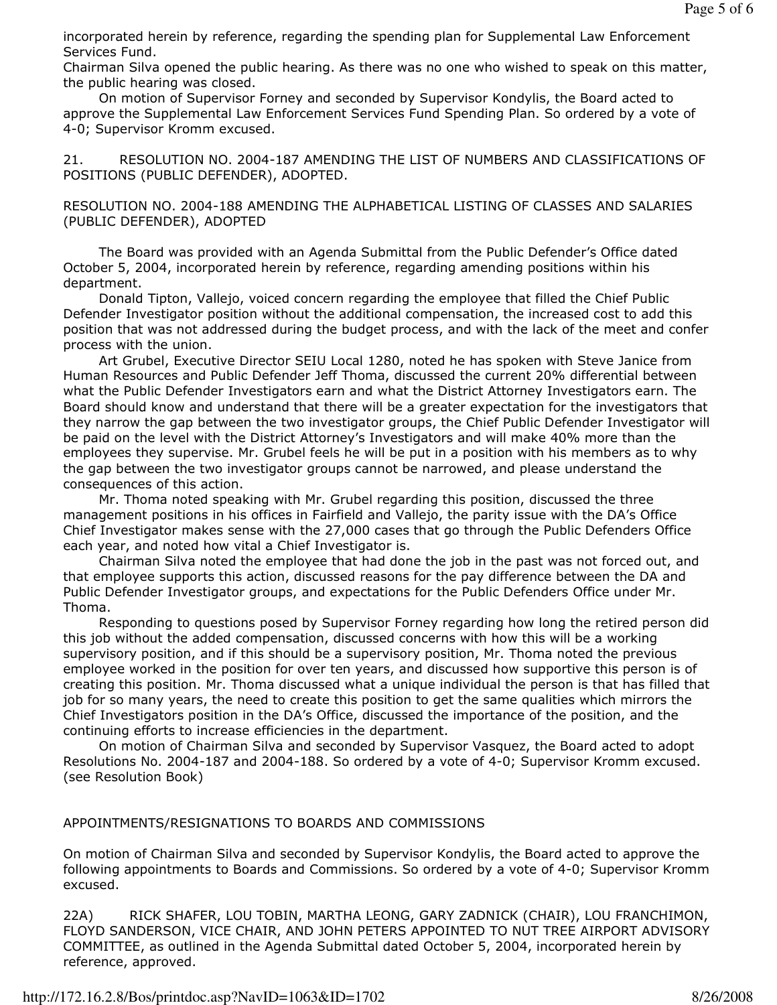incorporated herein by reference, regarding the spending plan for Supplemental Law Enforcement Services Fund.

Chairman Silva opened the public hearing. As there was no one who wished to speak on this matter, the public hearing was closed.

 On motion of Supervisor Forney and seconded by Supervisor Kondylis, the Board acted to approve the Supplemental Law Enforcement Services Fund Spending Plan. So ordered by a vote of 4-0; Supervisor Kromm excused.

21. RESOLUTION NO. 2004-187 AMENDING THE LIST OF NUMBERS AND CLASSIFICATIONS OF POSITIONS (PUBLIC DEFENDER), ADOPTED.

# RESOLUTION NO. 2004-188 AMENDING THE ALPHABETICAL LISTING OF CLASSES AND SALARIES (PUBLIC DEFENDER), ADOPTED

 The Board was provided with an Agenda Submittal from the Public Defender's Office dated October 5, 2004, incorporated herein by reference, regarding amending positions within his department.

 Donald Tipton, Vallejo, voiced concern regarding the employee that filled the Chief Public Defender Investigator position without the additional compensation, the increased cost to add this position that was not addressed during the budget process, and with the lack of the meet and confer process with the union.

 Art Grubel, Executive Director SEIU Local 1280, noted he has spoken with Steve Janice from Human Resources and Public Defender Jeff Thoma, discussed the current 20% differential between what the Public Defender Investigators earn and what the District Attorney Investigators earn. The Board should know and understand that there will be a greater expectation for the investigators that they narrow the gap between the two investigator groups, the Chief Public Defender Investigator will be paid on the level with the District Attorney's Investigators and will make 40% more than the employees they supervise. Mr. Grubel feels he will be put in a position with his members as to why the gap between the two investigator groups cannot be narrowed, and please understand the consequences of this action.

 Mr. Thoma noted speaking with Mr. Grubel regarding this position, discussed the three management positions in his offices in Fairfield and Vallejo, the parity issue with the DA's Office Chief Investigator makes sense with the 27,000 cases that go through the Public Defenders Office each year, and noted how vital a Chief Investigator is.

 Chairman Silva noted the employee that had done the job in the past was not forced out, and that employee supports this action, discussed reasons for the pay difference between the DA and Public Defender Investigator groups, and expectations for the Public Defenders Office under Mr. Thoma.

 Responding to questions posed by Supervisor Forney regarding how long the retired person did this job without the added compensation, discussed concerns with how this will be a working supervisory position, and if this should be a supervisory position, Mr. Thoma noted the previous employee worked in the position for over ten years, and discussed how supportive this person is of creating this position. Mr. Thoma discussed what a unique individual the person is that has filled that job for so many years, the need to create this position to get the same qualities which mirrors the Chief Investigators position in the DA's Office, discussed the importance of the position, and the continuing efforts to increase efficiencies in the department.

 On motion of Chairman Silva and seconded by Supervisor Vasquez, the Board acted to adopt Resolutions No. 2004-187 and 2004-188. So ordered by a vote of 4-0; Supervisor Kromm excused. (see Resolution Book)

# APPOINTMENTS/RESIGNATIONS TO BOARDS AND COMMISSIONS

On motion of Chairman Silva and seconded by Supervisor Kondylis, the Board acted to approve the following appointments to Boards and Commissions. So ordered by a vote of 4-0; Supervisor Kromm excused.

22A) RICK SHAFER, LOU TOBIN, MARTHA LEONG, GARY ZADNICK (CHAIR), LOU FRANCHIMON, FLOYD SANDERSON, VICE CHAIR, AND JOHN PETERS APPOINTED TO NUT TREE AIRPORT ADVISORY COMMITTEE, as outlined in the Agenda Submittal dated October 5, 2004, incorporated herein by reference, approved.